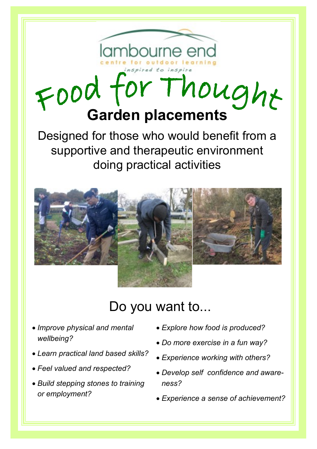# Food for Thought

Designed for those who would benefit from a supportive and therapeutic environment doing practical activities



# Do you want to...

- *Improve physical and mental wellbeing?*
- *Learn practical land based skills?*
- *Feel valued and respected?*
- *Build stepping stones to training or employment?*
- *Explore how food is produced?*
- *Do more exercise in a fun way?*
- *Experience working with others?*
- *Develop self confidence and awareness?*
- *Experience a sense of achievement?*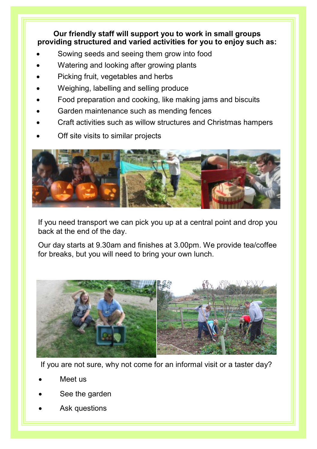**Our friendly staff will support you to work in small groups providing structured and varied activities for you to enjoy such as:**

- Sowing seeds and seeing them grow into food
- Watering and looking after growing plants
- Picking fruit, vegetables and herbs
- Weighing, labelling and selling produce
- Food preparation and cooking, like making jams and biscuits
- Garden maintenance such as mending fences
- Craft activities such as willow structures and Christmas hampers
- Off site visits to similar projects



If you need transport we can pick you up at a central point and drop you back at the end of the day.

Our day starts at 9.30am and finishes at 3.00pm. We provide tea/coffee for breaks, but you will need to bring your own lunch.



If you are not sure, why not come for an informal visit or a taster day?

- Meet us
- See the garden
- Ask questions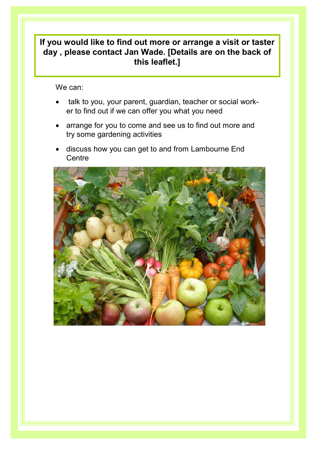### **If you would like to find out more or arrange a visit or taster day , please contact Jan Wade. [Details are on the back of this leaflet.]**

We can:

- talk to you, your parent, guardian, teacher or social worker to find out if we can offer you what you need
- arrange for you to come and see us to find out more and try some gardening activities
- discuss how you can get to and from Lambourne End **Centre**